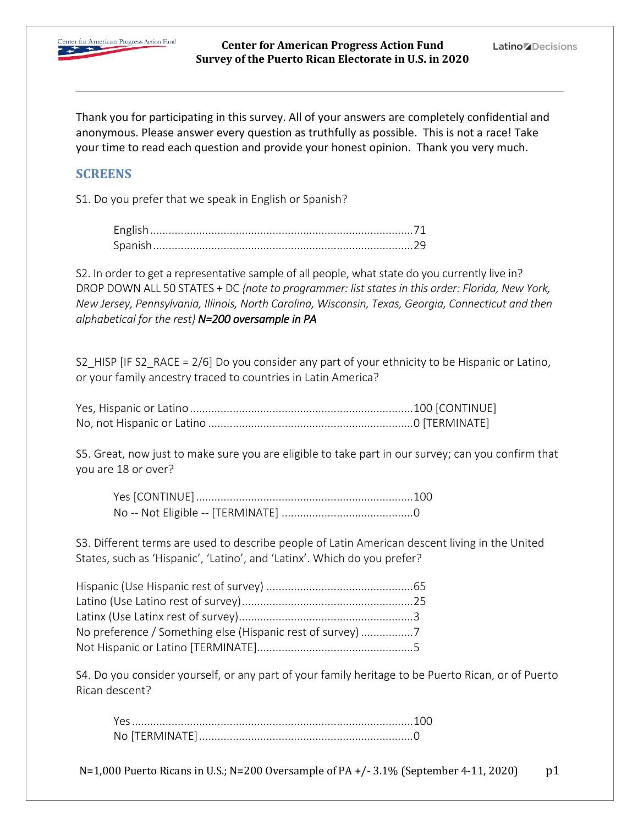

Thank you for participating in this survey. All of your answers are completely confidential and anonymous. Please answer every question as truthfully as possible. This is not a race! Take your time to read each question and provide your honest opinion. Thank you very much.

### **SCREENS**

S1. Do you prefer that we speak in English or Spanish?

S2. In order to get a representative sample of all people, what state do you currently live in? DROP DOWN ALL 50 STATES + DC *{note to programmer: list states in this order: Florida, New York, New Jersey, Pennsylvania, Illinois, North Carolina, Wisconsin, Texas, Georgia, Connecticut and then alphabetical for the rest} N=200 oversample in PA*

S2 HISP [IF S2\_RACE = 2/6] Do you consider any part of your ethnicity to be Hispanic or Latino, or your family ancestry traced to countries in Latin America?

S5. Great, now just to make sure you are eligible to take part in our survey; can you confirm that you are 18 or over?

S3. Different terms are used to describe people of Latin American descent living in the United States, such as 'Hispanic', 'Latino', and 'Latinx'. Which do you prefer?

| No preference / Something else (Hispanic rest of survey) |  |
|----------------------------------------------------------|--|
|                                                          |  |

S4. Do you consider yourself, or any part of your family heritage to be Puerto Rican, or of Puerto Rican descent?

 $N=1,000$  Puerto Ricans in U.S.;  $N=200$  Oversample of PA  $+/-3.1\%$  (September 4-11, 2020) p1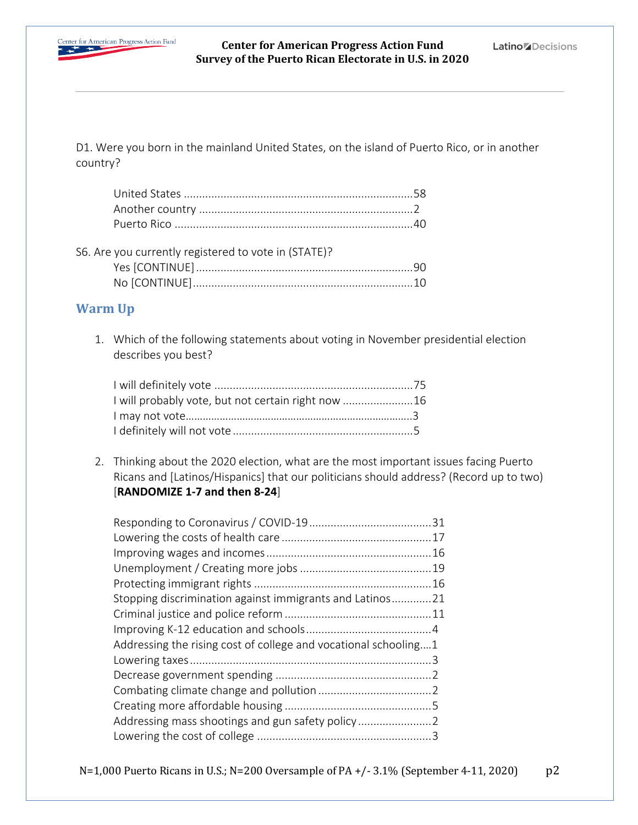

D1. Were you born in the mainland United States, on the island of Puerto Rico, or in another country?

| S6. Are you currently registered to vote in (STATE)? |
|------------------------------------------------------|
|                                                      |
|                                                      |

# **Warm Up**

1. Which of the following statements about voting in November presidential election describes you best?

| I will probably vote, but not certain right now  16 |  |
|-----------------------------------------------------|--|
|                                                     |  |
|                                                     |  |

2. Thinking about the 2020 election, what are the most important issues facing Puerto Ricans and [Latinos/Hispanics] that our politicians should address? (Record up to two) [**RANDOMIZE 1-7 and then 8-24**]

| Stopping discrimination against immigrants and Latinos21        |  |
|-----------------------------------------------------------------|--|
|                                                                 |  |
|                                                                 |  |
| Addressing the rising cost of college and vocational schooling1 |  |
|                                                                 |  |
|                                                                 |  |
|                                                                 |  |
|                                                                 |  |
| Addressing mass shootings and gun safety policy                 |  |
|                                                                 |  |

N=1,000 Puerto Ricans in U.S.; N=200 Oversample of PA +/- 3.1% (September 4-11, 2020)  $p2$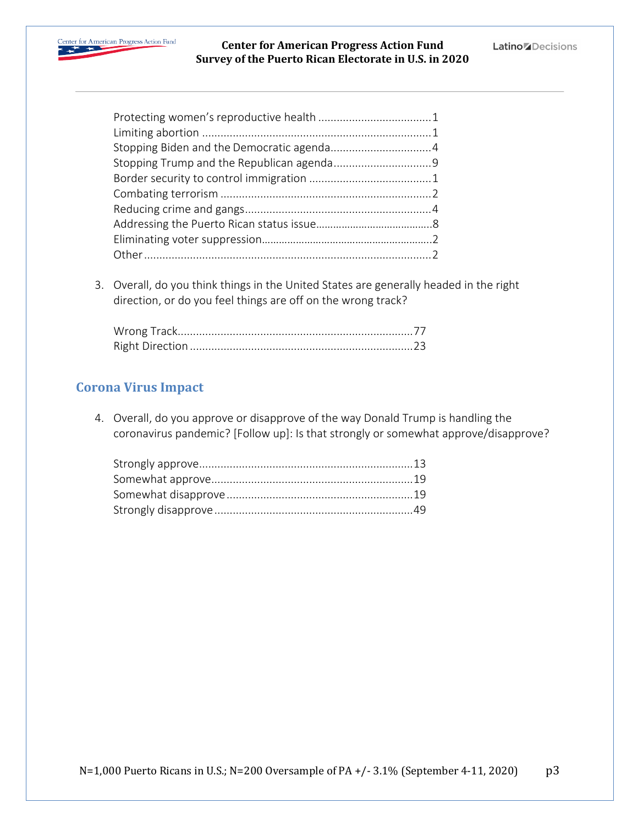

3. Overall, do you think things in the United States are generally headed in the right direction, or do you feel things are off on the wrong track?

# **Corona Virus Impact**

4. Overall, do you approve or disapprove of the way Donald Trump is handling the coronavirus pandemic? [Follow up]: Is that strongly or somewhat approve/disapprove?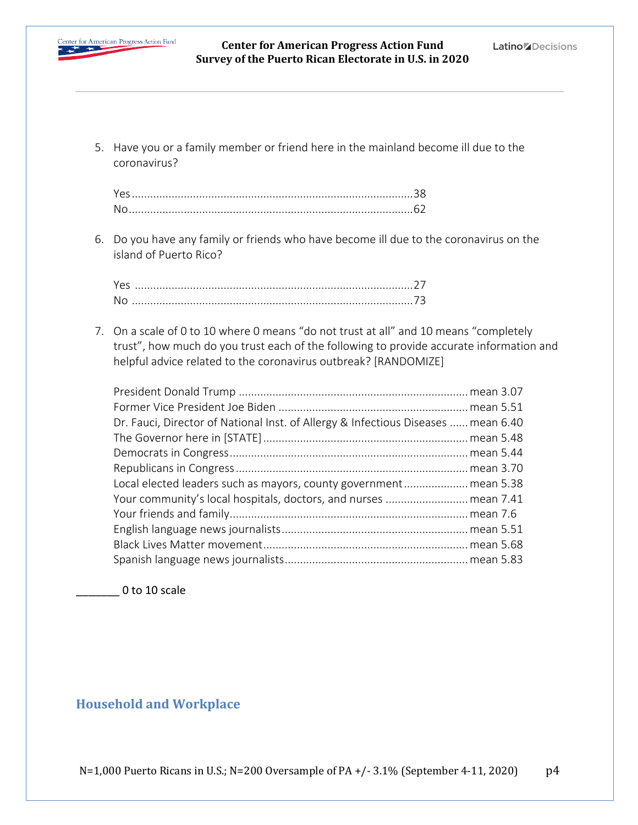

5. Have you or a family member or friend here in the mainland become ill due to the coronavirus?

| No |  |
|----|--|

6. Do you have any family or friends who have become ill due to the coronavirus on the island of Puerto Rico?

7. On a scale of 0 to 10 where 0 means "do not trust at all" and 10 means "completely trust", how much do you trust each of the following to provide accurate information and helpful advice related to the coronavirus outbreak? [RANDOMIZE]

| Dr. Fauci, Director of National Inst. of Allergy & Infectious Diseases  mean 6.40 |
|-----------------------------------------------------------------------------------|
|                                                                                   |
|                                                                                   |
|                                                                                   |
| Local elected leaders such as mayors, county government mean 5.38                 |
|                                                                                   |
|                                                                                   |
|                                                                                   |
|                                                                                   |
|                                                                                   |
|                                                                                   |

0 to 10 scale

## **Household and Workplace**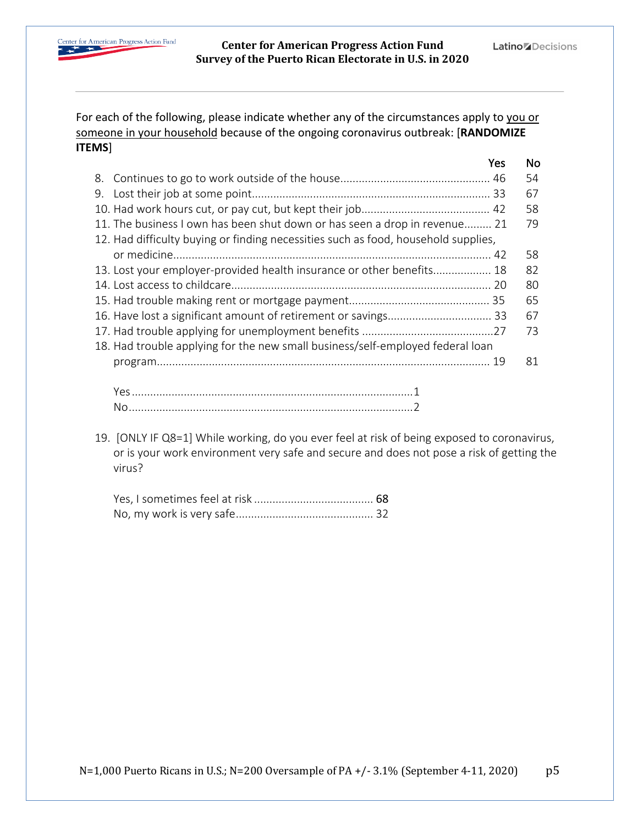

For each of the following, please indicate whether any of the circumstances apply to you or someone in your household because of the ongoing coronavirus outbreak: [**RANDOMIZE ITEMS**]

|                                                                                    | Yes | No. |
|------------------------------------------------------------------------------------|-----|-----|
|                                                                                    |     | 54  |
|                                                                                    |     | 67  |
|                                                                                    |     | 58  |
| 11. The business I own has been shut down or has seen a drop in revenue 21         |     | 79  |
| 12. Had difficulty buying or finding necessities such as food, household supplies, |     |     |
|                                                                                    |     | 58  |
| 13. Lost your employer-provided health insurance or other benefits 18              |     | 82  |
|                                                                                    |     | 80  |
|                                                                                    |     | 65  |
|                                                                                    |     | 67  |
|                                                                                    |     | 73  |
| 18. Had trouble applying for the new small business/self-employed federal loan     |     |     |
|                                                                                    |     | 81  |
|                                                                                    |     |     |
|                                                                                    |     |     |
|                                                                                    |     |     |

19. [ONLY IF Q8=1] While working, do you ever feel at risk of being exposed to coronavirus, or is your work environment very safe and secure and does not pose a risk of getting the virus?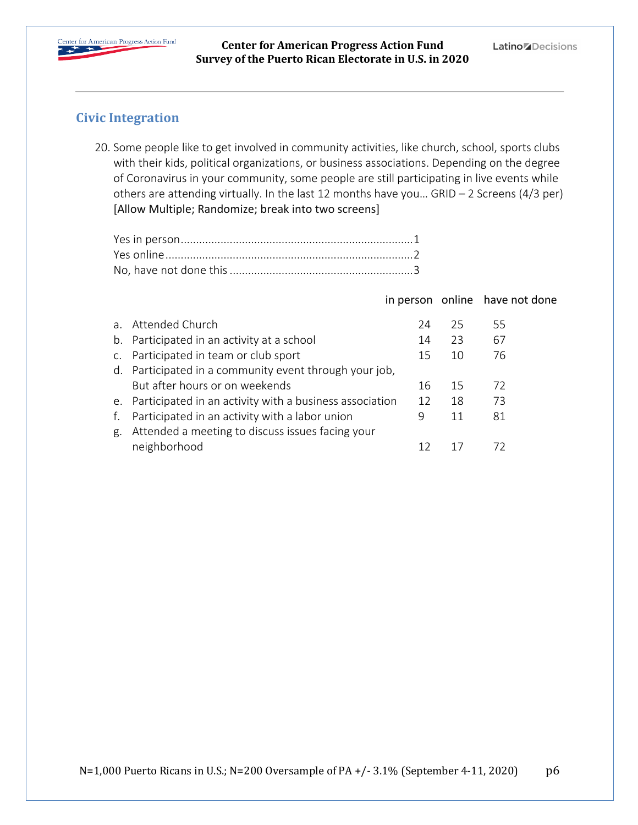

## **Civic Integration**

20. Some people like to get involved in community activities, like church, school, sports clubs with their kids, political organizations, or business associations. Depending on the degree of Coronavirus in your community, some people are still participating in live events while others are attending virtually. In the last 12 months have you… GRID – 2 Screens (4/3 per) [Allow Multiple; Randomize; break into two screens]

|    |                                                            |    |    | in person online have not done |
|----|------------------------------------------------------------|----|----|--------------------------------|
|    | a. Attended Church                                         | 24 | 25 | 55                             |
|    | b. Participated in an activity at a school                 | 14 | 23 | 67                             |
|    | c. Participated in team or club sport                      | 15 | 10 | 76                             |
|    | d. Participated in a community event through your job,     |    |    |                                |
|    | But after hours or on weekends                             | 16 | 15 | 72                             |
|    | e. Participated in an activity with a business association | 12 | 18 | 73                             |
| f. | Participated in an activity with a labor union             | 9  | 11 | 81                             |
| g. | Attended a meeting to discuss issues facing your           |    |    |                                |
|    | neighborhood                                               | 12 |    | 72                             |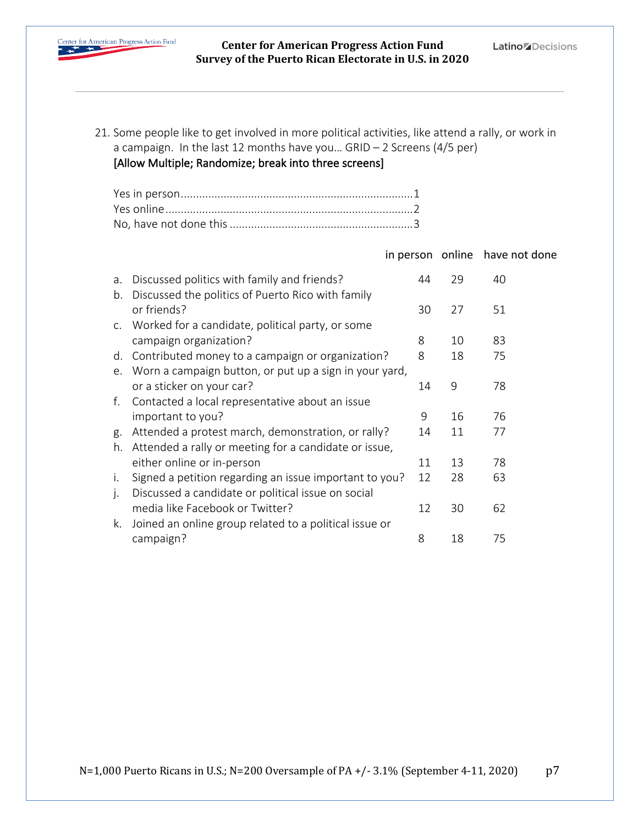

21. Some people like to get involved in more political activities, like attend a rally, or work in a campaign. In the last 12 months have you… GRID – 2 Screens (4/5 per)

#### [Allow Multiple; Randomize; break into three screens]

in person online have not done

| a. | Discussed politics with family and friends?                      | 44 | 29 | 40 |
|----|------------------------------------------------------------------|----|----|----|
| b. | Discussed the politics of Puerto Rico with family<br>or friends? | 30 | 27 | 51 |
| C. | Worked for a candidate, political party, or some                 |    |    |    |
|    | campaign organization?                                           | 8  | 10 | 83 |
| d. | Contributed money to a campaign or organization?                 | 8  | 18 | 75 |
|    | e. Worn a campaign button, or put up a sign in your yard,        |    |    |    |
|    | or a sticker on your car?                                        | 14 | 9  | 78 |
|    | f. Contacted a local representative about an issue               |    |    |    |
|    | important to you?                                                | 9  | 16 | 76 |
| g. | Attended a protest march, demonstration, or rally?               | 14 | 11 | 77 |
| h. | Attended a rally or meeting for a candidate or issue,            |    |    |    |
|    | either online or in-person                                       | 11 | 13 | 78 |
| i. | Signed a petition regarding an issue important to you?           | 12 | 28 | 63 |
| j. | Discussed a candidate or political issue on social               |    |    |    |
|    | media like Facebook or Twitter?                                  | 12 | 30 | 62 |
| k. | Joined an online group related to a political issue or           |    |    |    |
|    | campaign?                                                        | 8  | 18 | 75 |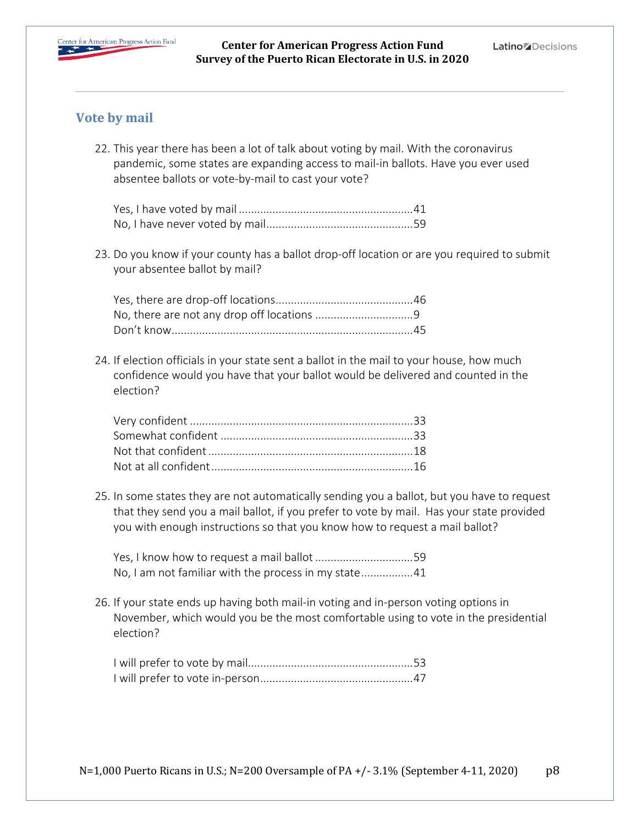

### **Vote by mail**

22. This year there has been a lot of talk about voting by mail. With the coronavirus pandemic, some states are expanding access to mail-in ballots. Have you ever used absentee ballots or vote-by-mail to cast your vote?

23. Do you know if your county has a ballot drop-off location or are you required to submit your absentee ballot by mail?

24. If election officials in your state sent a ballot in the mail to your house, how much confidence would you have that your ballot would be delivered and counted in the election?

25. In some states they are not automatically sending you a ballot, but you have to request that they send you a mail ballot, if you prefer to vote by mail. Has your state provided you with enough instructions so that you know how to request a mail ballot?

Yes, I know how to request a mail ballot ................................59 No, I am not familiar with the process in my state.................41

26. If your state ends up having both mail-in voting and in-person voting options in November, which would you be the most comfortable using to vote in the presidential election?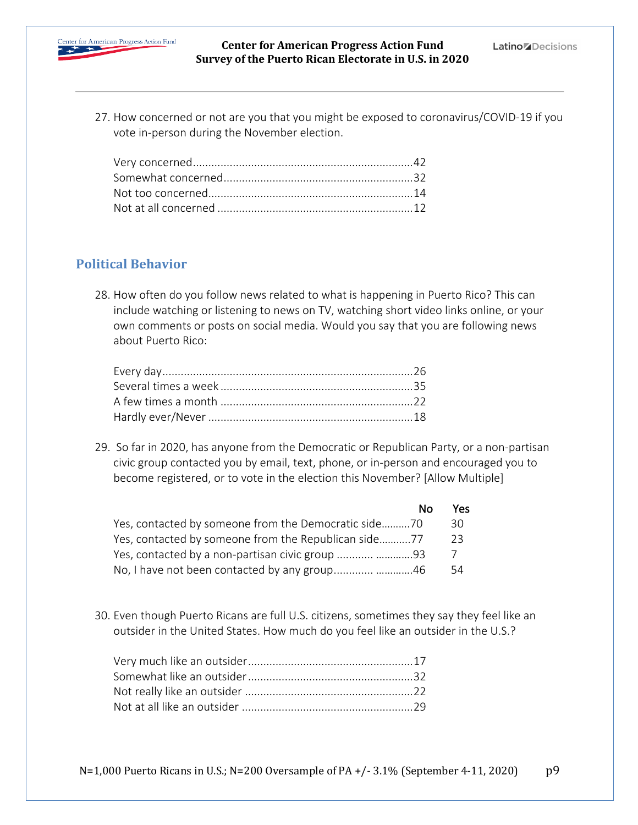

27. How concerned or not are you that you might be exposed to coronavirus/COVID-19 if you vote in-person during the November election.

## **Political Behavior**

28. How often do you follow news related to what is happening in Puerto Rico? This can include watching or listening to news on TV, watching short video links online, or your own comments or posts on social media. Would you say that you are following news about Puerto Rico:

29. So far in 2020, has anyone from the Democratic or Republican Party, or a non-partisan civic group contacted you by email, text, phone, or in-person and encouraged you to become registered, or to vote in the election this November? [Allow Multiple]

|                                                      | No. | Yes. |
|------------------------------------------------------|-----|------|
| Yes, contacted by someone from the Democratic side70 |     | 30.  |
| Yes, contacted by someone from the Republican side77 |     | -23  |
| Yes, contacted by a non-partisan civic group  93     |     |      |
| No, I have not been contacted by any group 46        |     | 54   |

30. Even though Puerto Ricans are full U.S. citizens, sometimes they say they feel like an outsider in the United States. How much do you feel like an outsider in the U.S.?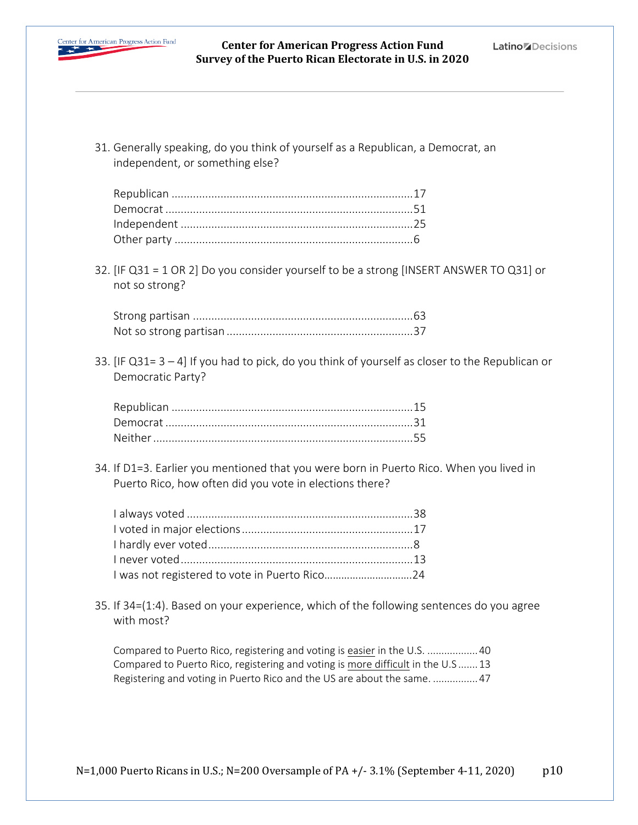

31. Generally speaking, do you think of yourself as a Republican, a Democrat, an independent, or something else?

32. [IF Q31 = 1 OR 2] Do you consider yourself to be a strong [INSERT ANSWER TO Q31] or not so strong?

33. [IF Q31= 3 – 4] If you had to pick, do you think of yourself as closer to the Republican or Democratic Party?

34. If D1=3. Earlier you mentioned that you were born in Puerto Rico. When you lived in Puerto Rico, how often did you vote in elections there?

| I was not registered to vote in Puerto Rico24 |  |
|-----------------------------------------------|--|

35. If 34=(1:4). Based on your experience, which of the following sentences do you agree with most?

Compared to Puerto Rico, registering and voting is easier in the U.S. ..................40 Compared to Puerto Rico, registering and voting is more difficult in the U.S .......13 Registering and voting in Puerto Rico and the US are about the same. ................47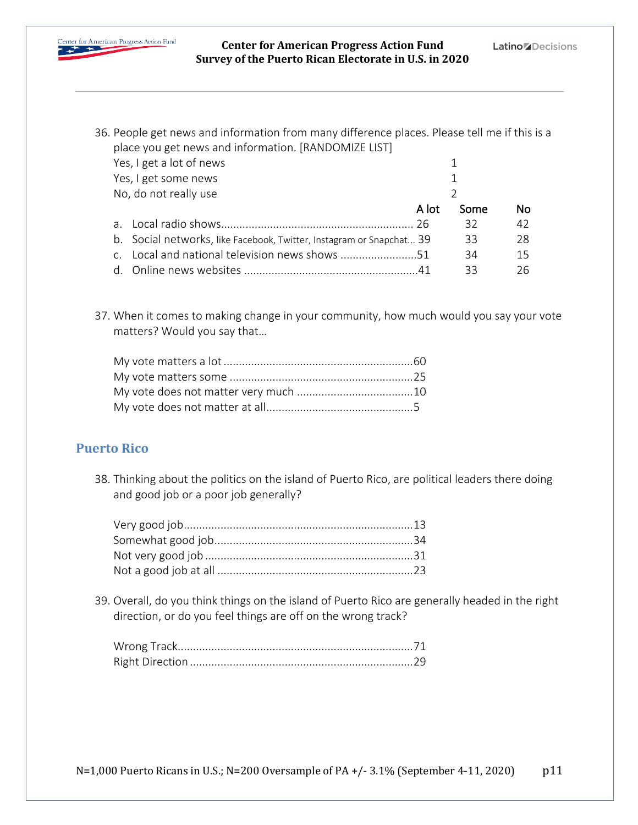

36. People get news and information from many difference places. Please tell me if this is a place you get news and information. [RANDOMIZE LIST]

| Yes, I get a lot of news                                             |       |      |    |
|----------------------------------------------------------------------|-------|------|----|
| Yes, I get some news                                                 |       |      |    |
| No, do not really use                                                |       |      |    |
|                                                                      | A lot | Some | No |
|                                                                      |       | 32   | 42 |
| b. Social networks, like Facebook, Twitter, Instagram or Snapchat 39 |       | 33   | 28 |
| Local and national television news shows 51                          |       | 34   | 15 |
|                                                                      |       | 33   | 26 |

37. When it comes to making change in your community, how much would you say your vote matters? Would you say that…

## **Puerto Rico**

38. Thinking about the politics on the island of Puerto Rico, are political leaders there doing and good job or a poor job generally?

39. Overall, do you think things on the island of Puerto Rico are generally headed in the right direction, or do you feel things are off on the wrong track?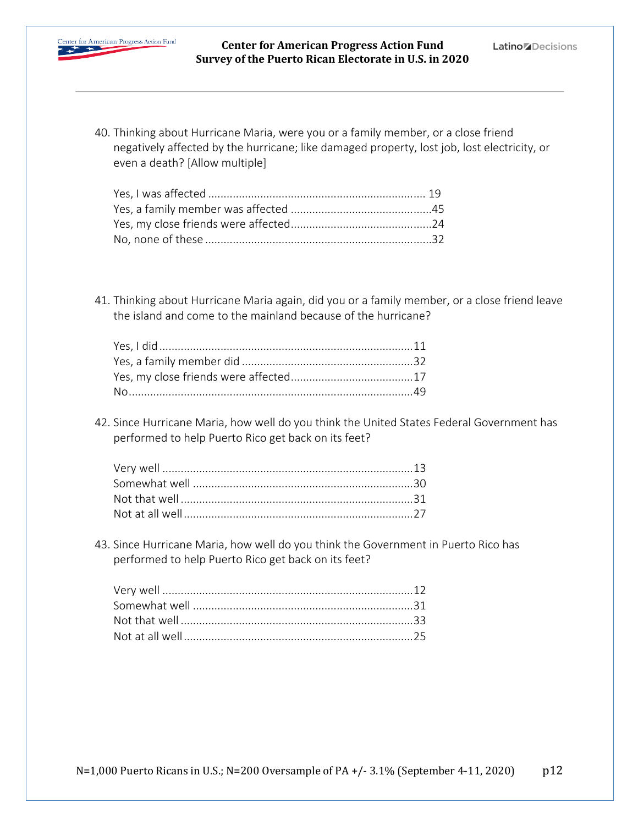

40. Thinking about Hurricane Maria, were you or a family member, or a close friend negatively affected by the hurricane; like damaged property, lost job, lost electricity, or even a death? [Allow multiple]

41. Thinking about Hurricane Maria again, did you or a family member, or a close friend leave the island and come to the mainland because of the hurricane?

42. Since Hurricane Maria, how well do you think the United States Federal Government has performed to help Puerto Rico get back on its feet?

43. Since Hurricane Maria, how well do you think the Government in Puerto Rico has performed to help Puerto Rico get back on its feet?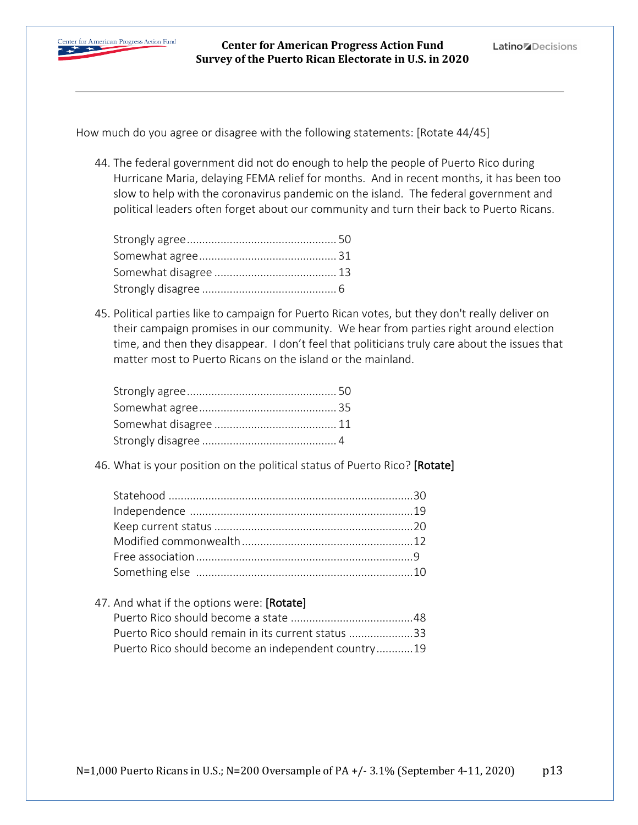

How much do you agree or disagree with the following statements: [Rotate 44/45]

44. The federal government did not do enough to help the people of Puerto Rico during Hurricane Maria, delaying FEMA relief for months. And in recent months, it has been too slow to help with the coronavirus pandemic on the island. The federal government and political leaders often forget about our community and turn their back to Puerto Ricans.

45. Political parties like to campaign for Puerto Rican votes, but they don't really deliver on their campaign promises in our community. We hear from parties right around election time, and then they disappear. I don't feel that politicians truly care about the issues that matter most to Puerto Ricans on the island or the mainland.

46. What is your position on the political status of Puerto Rico? [Rotate]

47. And what if the options were: [Rotate] Puerto Rico should become a state ........................................48 Puerto Rico should remain in its current status .....................33 Puerto Rico should become an independent country............19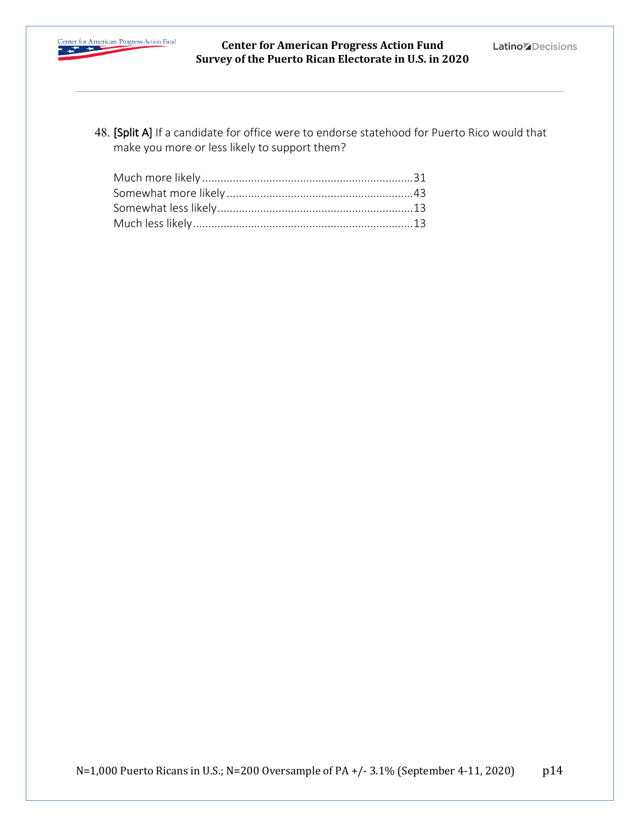

48. [Split A] If a candidate for office were to endorse statehood for Puerto Rico would that make you more or less likely to support them?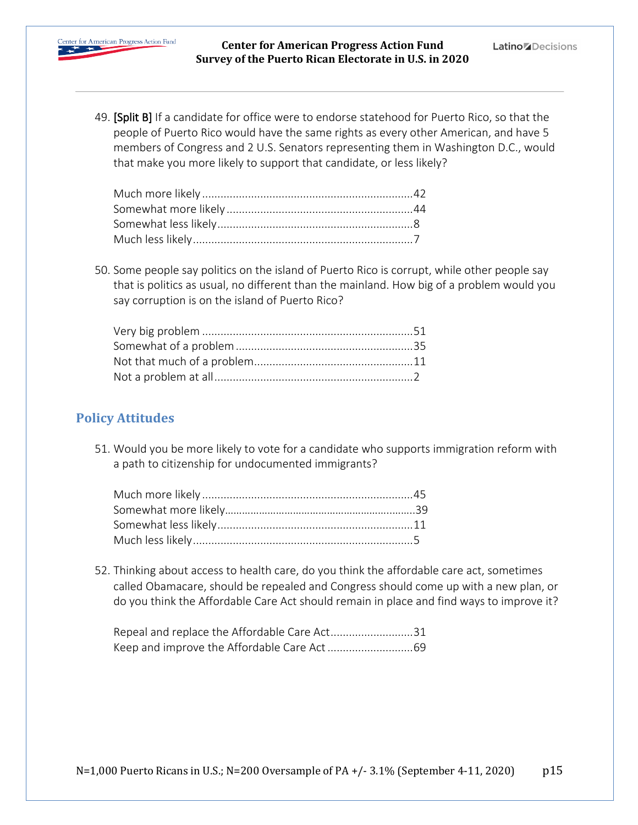

49. [Split B] If a candidate for office were to endorse statehood for Puerto Rico, so that the people of Puerto Rico would have the same rights as every other American, and have 5 members of Congress and 2 U.S. Senators representing them in Washington D.C., would that make you more likely to support that candidate, or less likely?

50. Some people say politics on the island of Puerto Rico is corrupt, while other people say that is politics as usual, no different than the mainland. How big of a problem would you say corruption is on the island of Puerto Rico?

### **Policy Attitudes**

51. Would you be more likely to vote for a candidate who supports immigration reform with a path to citizenship for undocumented immigrants?

52. Thinking about access to health care, do you think the affordable care act, sometimes called Obamacare, should be repealed and Congress should come up with a new plan, or do you think the Affordable Care Act should remain in place and find ways to improve it?

| Repeal and replace the Affordable Care Act31 |  |
|----------------------------------------------|--|
|                                              |  |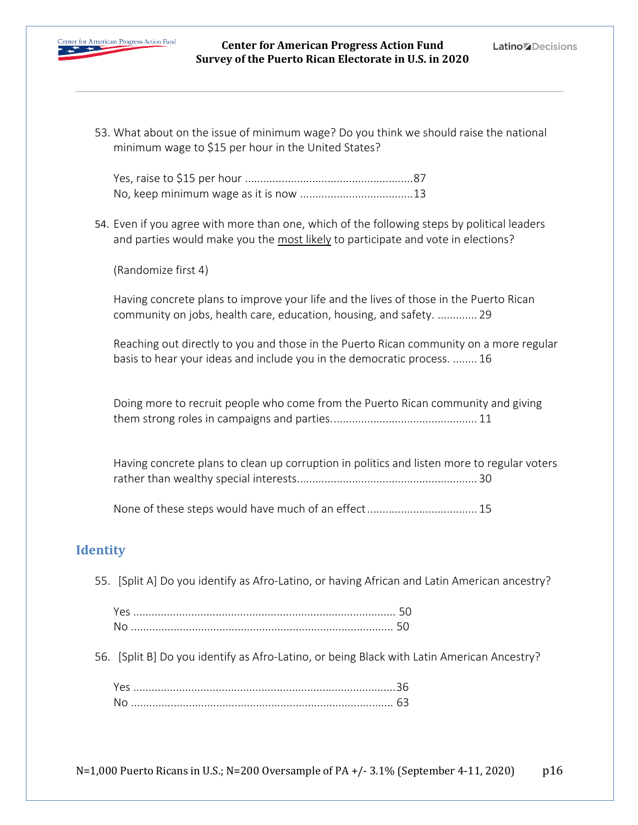

53. What about on the issue of minimum wage? Do you think we should raise the national minimum wage to \$15 per hour in the United States?

54. Even if you agree with more than one, which of the following steps by political leaders and parties would make you the most likely to participate and vote in elections?

(Randomize first 4)

Having concrete plans to improve your life and the lives of those in the Puerto Rican community on jobs, health care, education, housing, and safety. ............. 29

Reaching out directly to you and those in the Puerto Rican community on a more regular basis to hear your ideas and include you in the democratic process. ........ 16

Doing more to recruit people who come from the Puerto Rican community and giving them strong roles in campaigns and parties................................................ 11

Having concrete plans to clean up corruption in politics and listen more to regular voters rather than wealthy special interests........................................................... 30

None of these steps would have much of an effect.................................... 15

### **Identity**

55. [Split A] Do you identify as Afro-Latino, or having African and Latin American ancestry?

| .No |  |
|-----|--|

56. [Split B] Do you identify as Afro-Latino, or being Black with Latin American Ancestry?

| Νo |  |
|----|--|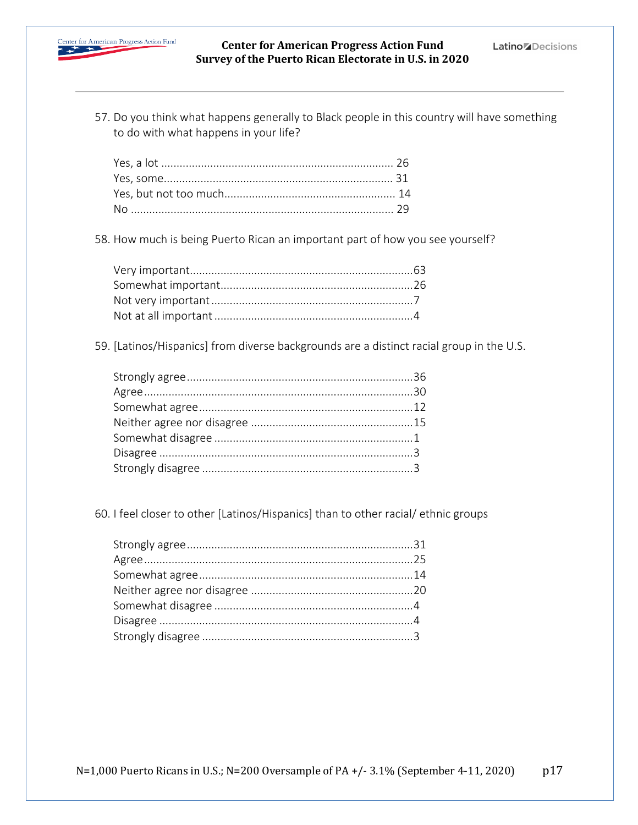

57. Do you think what happens generally to Black people in this country will have something to do with what happens in your life?

58. How much is being Puerto Rican an important part of how you see yourself?

59. [Latinos/Hispanics] from diverse backgrounds are a distinct racial group in the U.S.

60. I feel closer to other [Latinos/Hispanics] than to other racial/ ethnic groups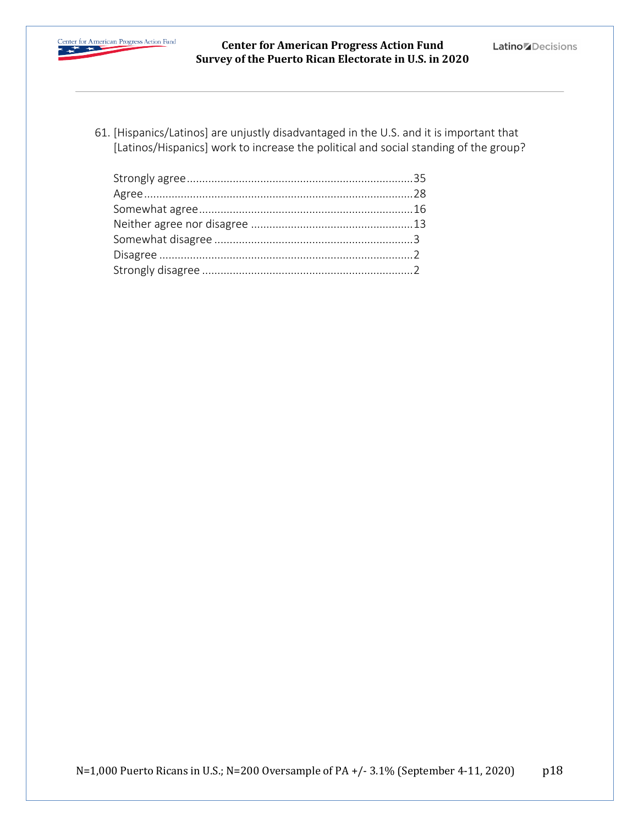

61. [Hispanics/Latinos] are unjustly disadvantaged in the U.S. and it is important that [Latinos/Hispanics] work to increase the political and social standing of the group?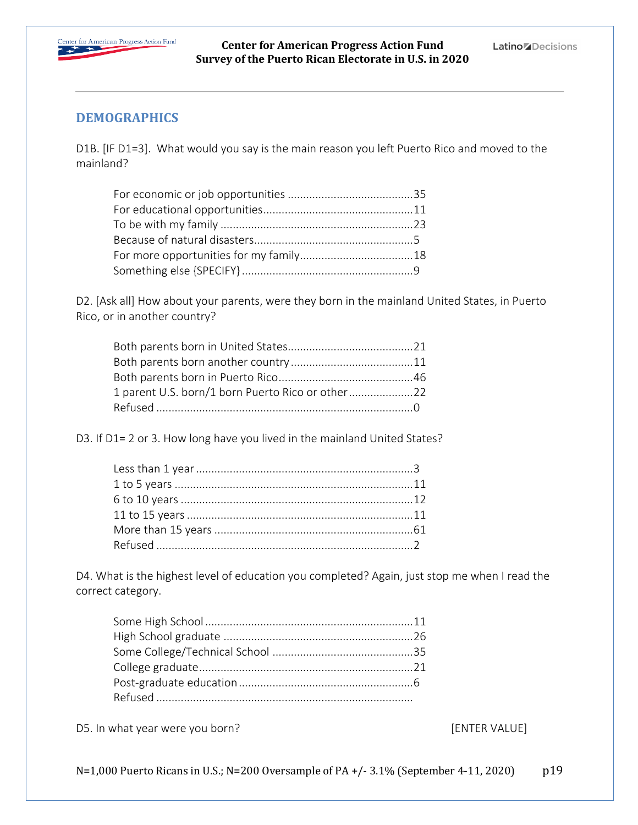

### **DEMOGRAPHICS**

D1B. [IF D1=3]. What would you say is the main reason you left Puerto Rico and moved to the mainland?

D2. [Ask all] How about your parents, were they born in the mainland United States, in Puerto Rico, or in another country?

| 1 parent U.S. born/1 born Puerto Rico or other |  |
|------------------------------------------------|--|
|                                                |  |

D3. If D1= 2 or 3. How long have you lived in the mainland United States?

D4. What is the highest level of education you completed? Again, just stop me when I read the correct category.

D5. In what year were you born? The same state of the set of the set of the set of the set of the set of the set of the set of the set of the set of the set of the set of the set of the set of the set of the set of the set

N=1,000 Puerto Ricans in U.S.; N=200 Oversample of PA +/- 3.1% (September 4-11, 2020)  $p19$